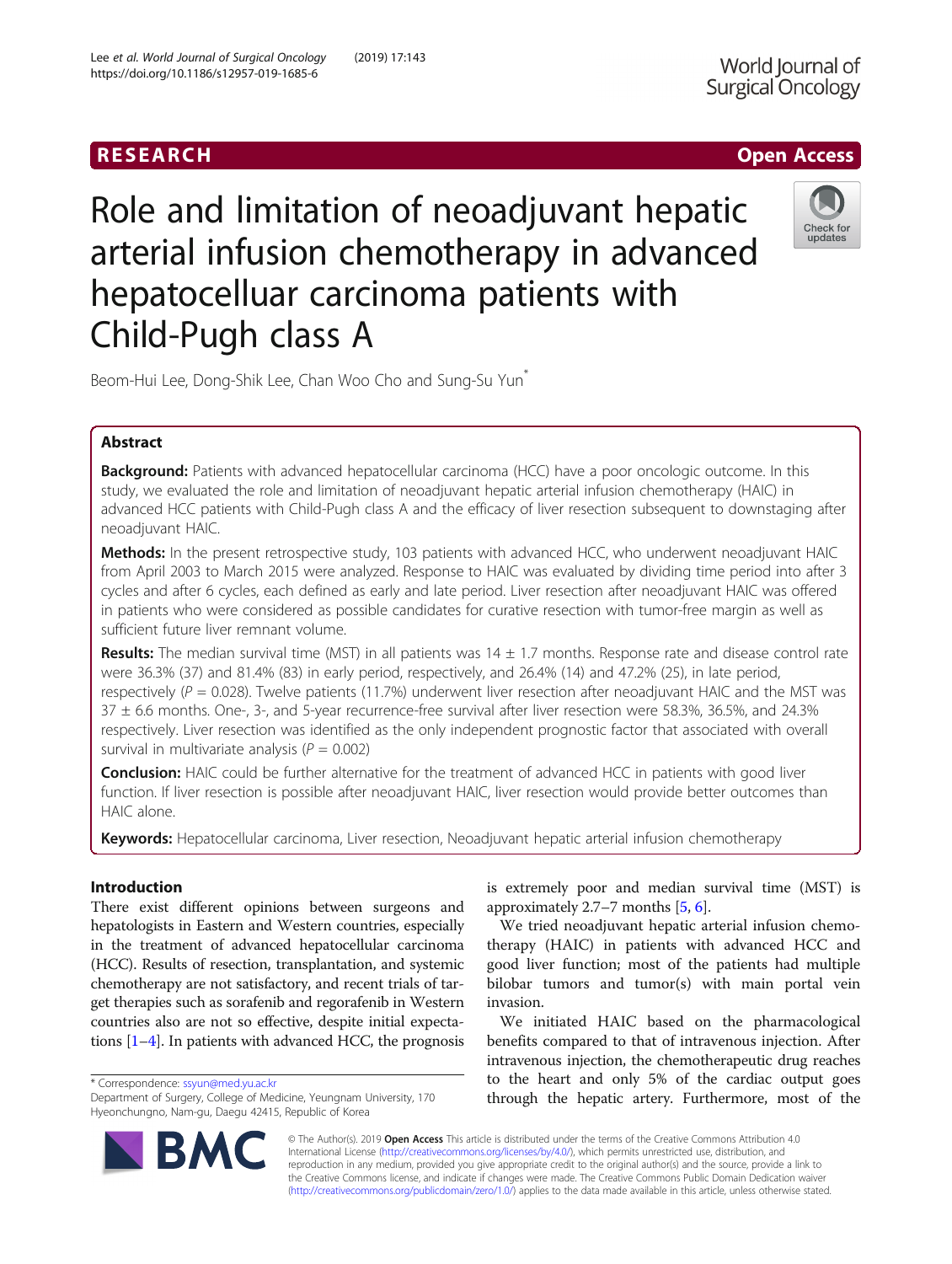Child-Pugh class A

Role and limitation of neoadjuvant hepatic

arterial infusion chemotherapy in advanced

hepatocelluar carcinoma patients with

# RESEARCH **RESEARCH CHOOSE ACCESS**

## World Journal of Surgical Oncology

# Check for undate

Beom-Hui Lee, Dong-Shik Lee, Chan Woo Cho and Sung-Su Yun<sup>\*</sup>

### Abstract

Background: Patients with advanced hepatocellular carcinoma (HCC) have a poor oncologic outcome. In this study, we evaluated the role and limitation of neoadjuvant hepatic arterial infusion chemotherapy (HAIC) in advanced HCC patients with Child-Pugh class A and the efficacy of liver resection subsequent to downstaging after neoadjuvant HAIC.

Methods: In the present retrospective study, 103 patients with advanced HCC, who underwent neoadjuvant HAIC from April 2003 to March 2015 were analyzed. Response to HAIC was evaluated by dividing time period into after 3 cycles and after 6 cycles, each defined as early and late period. Liver resection after neoadjuvant HAIC was offered in patients who were considered as possible candidates for curative resection with tumor-free margin as well as sufficient future liver remnant volume.

Results: The median survival time (MST) in all patients was  $14 \pm 1.7$  months. Response rate and disease control rate were 36.3% (37) and 81.4% (83) in early period, respectively, and 26.4% (14) and 47.2% (25), in late period, respectively ( $P = 0.028$ ). Twelve patients (11.7%) underwent liver resection after neoadjuvant HAIC and the MST was  $37 \pm 6.6$  months. One-, 3-, and 5-year recurrence-free survival after liver resection were 58.3%, 36.5%, and 24.3% respectively. Liver resection was identified as the only independent prognostic factor that associated with overall survival in multivariate analysis ( $P = 0.002$ )

**Conclusion:** HAIC could be further alternative for the treatment of advanced HCC in patients with good liver function. If liver resection is possible after neoadjuvant HAIC, liver resection would provide better outcomes than HAIC alone.

Keywords: Hepatocellular carcinoma, Liver resection, Neoadjuvant hepatic arterial infusion chemotherapy

#### Introduction

There exist different opinions between surgeons and hepatologists in Eastern and Western countries, especially in the treatment of advanced hepatocellular carcinoma (HCC). Results of resection, transplantation, and systemic chemotherapy are not satisfactory, and recent trials of target therapies such as sorafenib and regorafenib in Western countries also are not so effective, despite initial expectations  $[1-4]$  $[1-4]$  $[1-4]$ . In patients with advanced HCC, the prognosis

\* Correspondence: [ssyun@med.yu.ac.kr](mailto:ssyun@med.yu.ac.kr)

R,



We tried neoadjuvant hepatic arterial infusion chemotherapy (HAIC) in patients with advanced HCC and good liver function; most of the patients had multiple bilobar tumors and tumor(s) with main portal vein invasion.

We initiated HAIC based on the pharmacological benefits compared to that of intravenous injection. After intravenous injection, the chemotherapeutic drug reaches to the heart and only 5% of the cardiac output goes through the hepatic artery. Furthermore, most of the

© The Author(s). 2019 **Open Access** This article is distributed under the terms of the Creative Commons Attribution 4.0 International License [\(http://creativecommons.org/licenses/by/4.0/](http://creativecommons.org/licenses/by/4.0/)), which permits unrestricted use, distribution, and reproduction in any medium, provided you give appropriate credit to the original author(s) and the source, provide a link to the Creative Commons license, and indicate if changes were made. The Creative Commons Public Domain Dedication waiver [\(http://creativecommons.org/publicdomain/zero/1.0/](http://creativecommons.org/publicdomain/zero/1.0/)) applies to the data made available in this article, unless otherwise stated.

Department of Surgery, College of Medicine, Yeungnam University, 170 Hyeonchungno, Nam-gu, Daegu 42415, Republic of Korea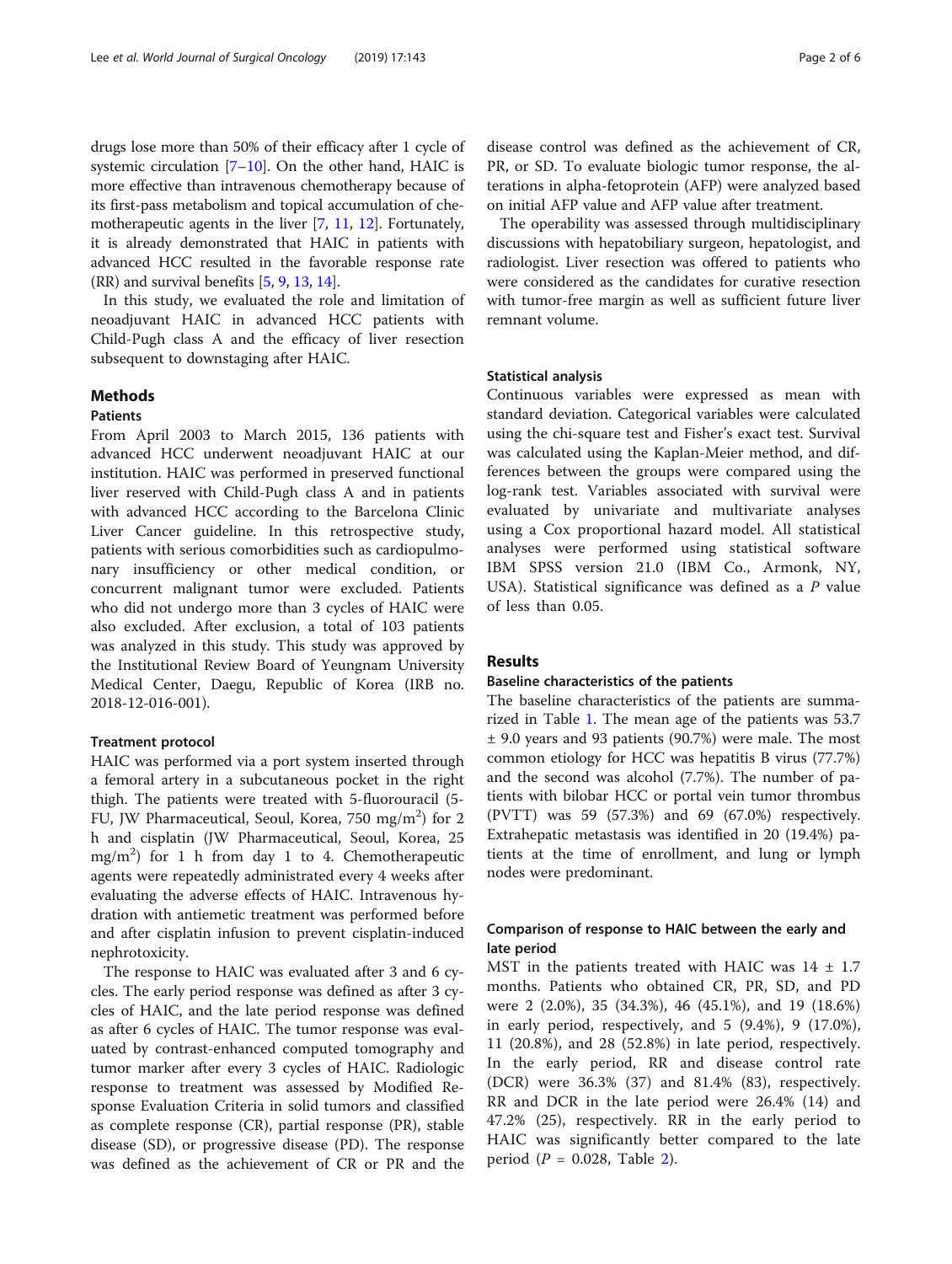drugs lose more than 50% of their efficacy after 1 cycle of systemic circulation [[7](#page-5-0)–[10](#page-5-0)]. On the other hand, HAIC is more effective than intravenous chemotherapy because of its first-pass metabolism and topical accumulation of chemotherapeutic agents in the liver [[7](#page-5-0), [11,](#page-5-0) [12\]](#page-5-0). Fortunately, it is already demonstrated that HAIC in patients with advanced HCC resulted in the favorable response rate  $(RR)$  and survival benefits  $[5, 9, 13, 14]$  $[5, 9, 13, 14]$  $[5, 9, 13, 14]$  $[5, 9, 13, 14]$  $[5, 9, 13, 14]$  $[5, 9, 13, 14]$  $[5, 9, 13, 14]$  $[5, 9, 13, 14]$ .

In this study, we evaluated the role and limitation of neoadjuvant HAIC in advanced HCC patients with Child-Pugh class A and the efficacy of liver resection subsequent to downstaging after HAIC.

#### Methods

#### Patients

From April 2003 to March 2015, 136 patients with advanced HCC underwent neoadjuvant HAIC at our institution. HAIC was performed in preserved functional liver reserved with Child-Pugh class A and in patients with advanced HCC according to the Barcelona Clinic Liver Cancer guideline. In this retrospective study, patients with serious comorbidities such as cardiopulmonary insufficiency or other medical condition, or concurrent malignant tumor were excluded. Patients who did not undergo more than 3 cycles of HAIC were also excluded. After exclusion, a total of 103 patients was analyzed in this study. This study was approved by the Institutional Review Board of Yeungnam University Medical Center, Daegu, Republic of Korea (IRB no. 2018-12-016-001).

#### Treatment protocol

HAIC was performed via a port system inserted through a femoral artery in a subcutaneous pocket in the right thigh. The patients were treated with 5-fluorouracil (5- FU, JW Pharmaceutical, Seoul, Korea, 750 mg/m<sup>2</sup>) for 2 h and cisplatin (JW Pharmaceutical, Seoul, Korea, 25 mg/m<sup>2</sup> ) for 1 h from day 1 to 4. Chemotherapeutic agents were repeatedly administrated every 4 weeks after evaluating the adverse effects of HAIC. Intravenous hydration with antiemetic treatment was performed before and after cisplatin infusion to prevent cisplatin-induced nephrotoxicity.

The response to HAIC was evaluated after 3 and 6 cycles. The early period response was defined as after 3 cycles of HAIC, and the late period response was defined as after 6 cycles of HAIC. The tumor response was evaluated by contrast-enhanced computed tomography and tumor marker after every 3 cycles of HAIC. Radiologic response to treatment was assessed by Modified Response Evaluation Criteria in solid tumors and classified as complete response (CR), partial response (PR), stable disease (SD), or progressive disease (PD). The response was defined as the achievement of CR or PR and the disease control was defined as the achievement of CR, PR, or SD. To evaluate biologic tumor response, the alterations in alpha-fetoprotein (AFP) were analyzed based on initial AFP value and AFP value after treatment.

The operability was assessed through multidisciplinary discussions with hepatobiliary surgeon, hepatologist, and radiologist. Liver resection was offered to patients who were considered as the candidates for curative resection with tumor-free margin as well as sufficient future liver remnant volume.

#### Statistical analysis

Continuous variables were expressed as mean with standard deviation. Categorical variables were calculated using the chi-square test and Fisher's exact test. Survival was calculated using the Kaplan-Meier method, and differences between the groups were compared using the log-rank test. Variables associated with survival were evaluated by univariate and multivariate analyses using a Cox proportional hazard model. All statistical analyses were performed using statistical software IBM SPSS version 21.0 (IBM Co., Armonk, NY, USA). Statistical significance was defined as a P value of less than 0.05.

#### Results

#### Baseline characteristics of the patients

The baseline characteristics of the patients are summarized in Table [1](#page-2-0). The mean age of the patients was 53.7 ± 9.0 years and 93 patients (90.7%) were male. The most common etiology for HCC was hepatitis B virus (77.7%) and the second was alcohol (7.7%). The number of patients with bilobar HCC or portal vein tumor thrombus (PVTT) was 59 (57.3%) and 69 (67.0%) respectively. Extrahepatic metastasis was identified in 20 (19.4%) patients at the time of enrollment, and lung or lymph nodes were predominant.

#### Comparison of response to HAIC between the early and late period

MST in the patients treated with HAIC was  $14 \pm 1.7$ months. Patients who obtained CR, PR, SD, and PD were 2 (2.0%), 35 (34.3%), 46 (45.1%), and 19 (18.6%) in early period, respectively, and 5 (9.4%), 9 (17.0%), 11 (20.8%), and 28 (52.8%) in late period, respectively. In the early period, RR and disease control rate (DCR) were 36.3% (37) and 81.4% (83), respectively. RR and DCR in the late period were 26.4% (14) and 47.2% (25), respectively. RR in the early period to HAIC was significantly better compared to the late period ( $P = 0.028$ , Table [2\)](#page-2-0).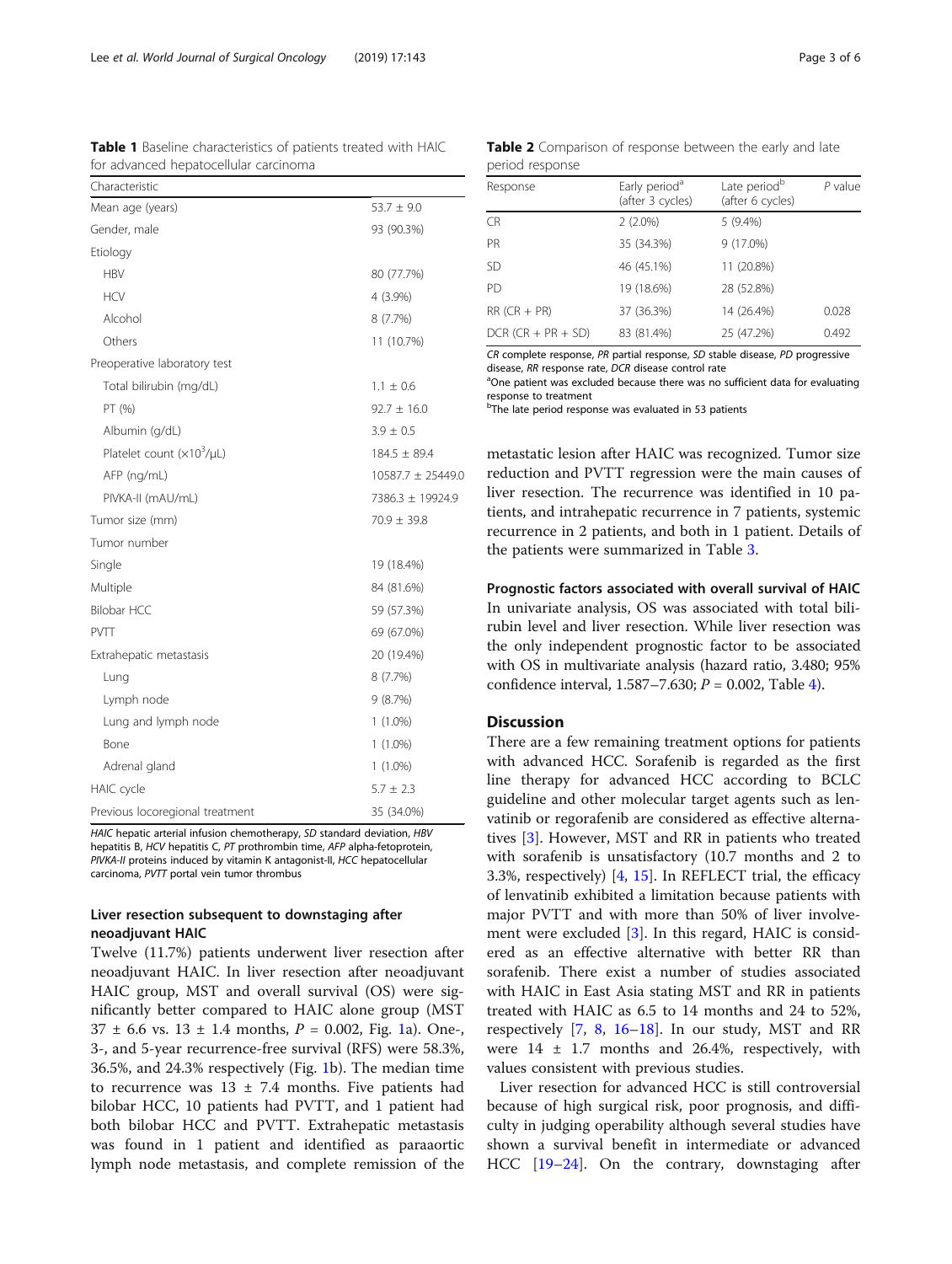hepatitis B, HCV hepatitis C, PT prothrombin time, AFP alpha-fetoprotein, PIVKA-II proteins induced by vitamin K antagonist-II, HCC hepatocellular carcinoma, PVTT portal vein tumor thrombus

#### Liver resection subsequent to downstaging after neoadjuvant HAIC

Twelve (11.7%) patients underwent liver resection after neoadjuvant HAIC. In liver resection after neoadjuvant HAIC group, MST and overall survival (OS) were significantly better compared to HAIC alone group (MST  $37 \pm 6.6$  vs.  $13 \pm 1.4$  months,  $P = 0.002$ , Fig. [1a](#page-3-0)). One-, 3-, and 5-year recurrence-free survival (RFS) were 58.3%, 36.5%, and 24.3% respectively (Fig. [1](#page-3-0)b). The median time to recurrence was  $13 \pm 7.4$  months. Five patients had bilobar HCC, 10 patients had PVTT, and 1 patient had both bilobar HCC and PVTT. Extrahepatic metastasis was found in 1 patient and identified as paraaortic lymph node metastasis, and complete remission of the

#### Table 2 Comparison of response between the early and late period response

| Response             | Early period <sup>®</sup><br>(after 3 cycles) | Late period <sup>b</sup><br>(after 6 cycles) | $P$ value |
|----------------------|-----------------------------------------------|----------------------------------------------|-----------|
| <b>CR</b>            | $2(2.0\%)$                                    | 5 (9.4%)                                     |           |
| PR                   | 35 (34.3%)                                    | $9(17.0\%)$                                  |           |
| <b>SD</b>            | 46 (45.1%)                                    | 11 (20.8%)                                   |           |
| PD.                  | 19 (18.6%)                                    | 28 (52.8%)                                   |           |
| $RR (CR + PR)$       | 37 (36.3%)                                    | 14 (26.4%)                                   | 0.028     |
| $DCR (CR + PR + SD)$ | 83 (81.4%)                                    | 25 (47.2%)                                   | 0.492     |

CR complete response, PR partial response, SD stable disease, PD progressive disease, RR response rate, DCR disease control rate

<sup>a</sup>One patient was excluded because there was no sufficient data for evaluating response to treatment

<sup>b</sup>The late period response was evaluated in 53 patients

metastatic lesion after HAIC was recognized. Tumor size reduction and PVTT regression were the main causes of liver resection. The recurrence was identified in 10 patients, and intrahepatic recurrence in 7 patients, systemic recurrence in 2 patients, and both in 1 patient. Details of the patients were summarized in Table [3.](#page-3-0)

Prognostic factors associated with overall survival of HAIC In univariate analysis, OS was associated with total bilirubin level and liver resection. While liver resection was the only independent prognostic factor to be associated with OS in multivariate analysis (hazard ratio, 3.480; 95% confidence interval,  $1.587 - 7.630$ ;  $P = 0.002$ , Table [4\)](#page-4-0).

#### Discussion

There are a few remaining treatment options for patients with advanced HCC. Sorafenib is regarded as the first line therapy for advanced HCC according to BCLC guideline and other molecular target agents such as lenvatinib or regorafenib are considered as effective alternatives [[3\]](#page-5-0). However, MST and RR in patients who treated with sorafenib is unsatisfactory (10.7 months and 2 to 3.3%, respectively) [[4,](#page-5-0) [15\]](#page-5-0). In REFLECT trial, the efficacy of lenvatinib exhibited a limitation because patients with major PVTT and with more than 50% of liver involve-ment were excluded [\[3\]](#page-5-0). In this regard, HAIC is considered as an effective alternative with better RR than sorafenib. There exist a number of studies associated with HAIC in East Asia stating MST and RR in patients treated with HAIC as 6.5 to 14 months and 24 to 52%, respectively [\[7](#page-5-0), [8](#page-5-0), [16](#page-5-0)–[18\]](#page-5-0). In our study, MST and RR were  $14 \pm 1.7$  months and 26.4%, respectively, with values consistent with previous studies.

Liver resection for advanced HCC is still controversial because of high surgical risk, poor prognosis, and difficulty in judging operability although several studies have shown a survival benefit in intermediate or advanced HCC [[19](#page-5-0)–[24](#page-5-0)]. On the contrary, downstaging after

Table 1 Baseline characteristics of patients treated with HAIC

Mean age (years)  $53.7 \pm 9.0$ 

for advanced hepatocellular carcinoma

Characteristic

<span id="page-2-0"></span>

| Lee et al. World Journal of Surgical Oncology (2019) 17:143 | Page 3 of 6 |
|-------------------------------------------------------------|-------------|

| Gender, male                                  | 93 (90.3%)        |  |  |
|-----------------------------------------------|-------------------|--|--|
| Etiology                                      |                   |  |  |
| <b>HBV</b>                                    | 80 (77.7%)        |  |  |
| <b>HCV</b>                                    | 4 (3.9%)          |  |  |
| Alcohol                                       | 8 (7.7%)          |  |  |
| Others                                        | 11 (10.7%)        |  |  |
| Preoperative laboratory test                  |                   |  |  |
| Total bilirubin (mg/dL)                       | $1.1 \pm 0.6$     |  |  |
| PT (%)                                        | $92.7 \pm 16.0$   |  |  |
| Albumin (g/dL)                                | $3.9 \pm 0.5$     |  |  |
| Platelet count $(x10^3/\mu L)$                | $184.5 \pm 89.4$  |  |  |
| AFP (ng/mL)                                   | 10587.7 ± 25449.0 |  |  |
| PIVKA-II (mAU/mL)                             | 7386.3 ± 19924.9  |  |  |
| Tumor size (mm)                               | $70.9 \pm 39.8$   |  |  |
| Tumor number                                  |                   |  |  |
| Single                                        | 19 (18.4%)        |  |  |
| Multiple                                      | 84 (81.6%)        |  |  |
| <b>Bilobar HCC</b>                            | 59 (57.3%)        |  |  |
| PVTT                                          | 69 (67.0%)        |  |  |
| Extrahepatic metastasis                       | 20 (19.4%)        |  |  |
| Lung                                          | 8 (7.7%)          |  |  |
| Lymph node                                    | 9(8.7%)           |  |  |
| Lung and lymph node                           | $1(1.0\%)$        |  |  |
| Bone                                          | $1(1.0\%)$        |  |  |
| Adrenal gland                                 | $1(1.0\%)$        |  |  |
| HAIC cycle                                    | $5.7 \pm 2.3$     |  |  |
| Previous locoregional treatment<br>35 (34.0%) |                   |  |  |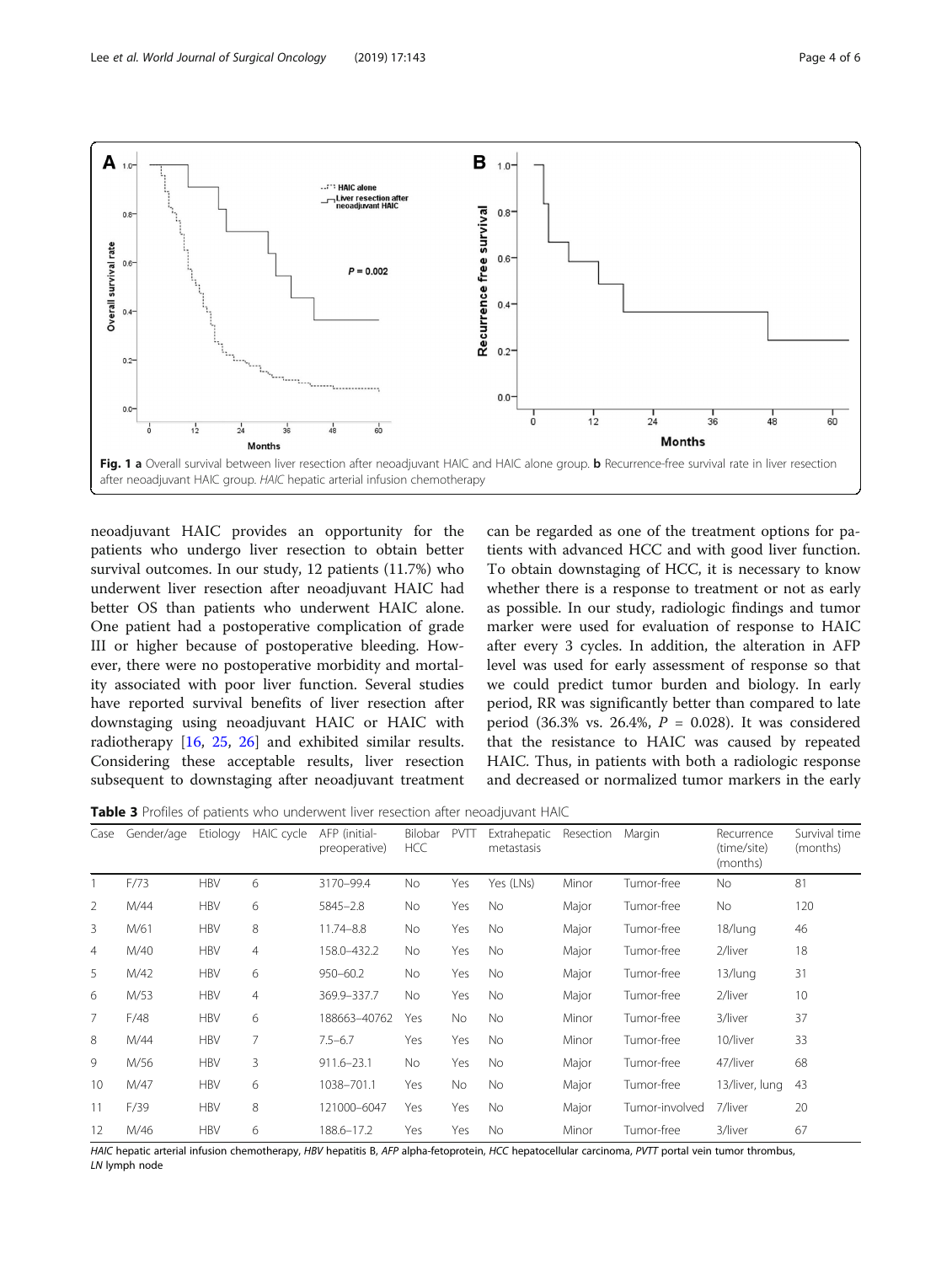<span id="page-3-0"></span>

neoadjuvant HAIC provides an opportunity for the patients who undergo liver resection to obtain better survival outcomes. In our study, 12 patients (11.7%) who underwent liver resection after neoadjuvant HAIC had better OS than patients who underwent HAIC alone. One patient had a postoperative complication of grade III or higher because of postoperative bleeding. However, there were no postoperative morbidity and mortality associated with poor liver function. Several studies have reported survival benefits of liver resection after downstaging using neoadjuvant HAIC or HAIC with radiotherapy [\[16,](#page-5-0) [25,](#page-5-0) [26](#page-5-0)] and exhibited similar results. Considering these acceptable results, liver resection subsequent to downstaging after neoadjuvant treatment

can be regarded as one of the treatment options for patients with advanced HCC and with good liver function. To obtain downstaging of HCC, it is necessary to know whether there is a response to treatment or not as early as possible. In our study, radiologic findings and tumor marker were used for evaluation of response to HAIC after every 3 cycles. In addition, the alteration in AFP level was used for early assessment of response so that we could predict tumor burden and biology. In early period, RR was significantly better than compared to late period (36.3% vs. 26.4%,  $P = 0.028$ ). It was considered that the resistance to HAIC was caused by repeated HAIC. Thus, in patients with both a radiologic response and decreased or normalized tumor markers in the early

Table 3 Profiles of patients who underwent liver resection after neoadjuvant HAIC

| Case           | Gender/age | Etiology   | HAIC cycle     | AFP (initial-<br>preoperative) | Bilobar<br><b>HCC</b> | <b>PVTT</b> | Extrahepatic<br>metastasis | Resection | Margin         | Recurrence<br>(time/site)<br>(months) | Survival time<br>(months) |
|----------------|------------|------------|----------------|--------------------------------|-----------------------|-------------|----------------------------|-----------|----------------|---------------------------------------|---------------------------|
|                | F/73       | <b>HBV</b> | 6              | 3170-99.4                      | No                    | Yes         | Yes (LNs)                  | Minor     | Tumor-free     | No                                    | 81                        |
| 2              | M/44       | <b>HBV</b> | 6              | $5845 - 2.8$                   | No                    | Yes         | No.                        | Major     | Tumor-free     | No                                    | 120                       |
| 3              | M/61       | <b>HBV</b> | 8              | $11.74 - 8.8$                  | <b>No</b>             | Yes         | No.                        | Major     | Tumor-free     | 18/lung                               | 46                        |
| $\overline{4}$ | M/40       | <b>HBV</b> | $\overline{4}$ | 158.0-432.2                    | No.                   | Yes         | No.                        | Major     | Tumor-free     | 2/liver                               | 18                        |
| 5              | M/42       | <b>HBV</b> | 6              | $950 - 60.2$                   | No.                   | Yes         | No                         | Major     | Tumor-free     | 13/lung                               | 31                        |
| 6              | M/53       | <b>HBV</b> | 4              | 369.9-337.7                    | <b>No</b>             | Yes         | No.                        | Major     | Tumor-free     | 2/liver                               | 10                        |
| 7              | F/48       | <b>HBV</b> | 6              | 188663-40762                   | Yes                   | No          | No.                        | Minor     | Tumor-free     | 3/liver                               | 37                        |
| 8              | M/44       | <b>HBV</b> | 7              | $7.5 - 6.7$                    | Yes                   | Yes         | No.                        | Minor     | Tumor-free     | 10/liver                              | 33                        |
| 9              | M/56       | <b>HBV</b> | 3              | $911.6 - 23.1$                 | No                    | Yes         | No                         | Major     | Tumor-free     | 47/liver                              | 68                        |
| 10             | M/47       | <b>HBV</b> | 6              | 1038-701.1                     | Yes                   | <b>No</b>   | No                         | Major     | Tumor-free     | 13/liver, lung                        | 43                        |
| 11             | F/39       | <b>HBV</b> | 8              | 121000-6047                    | Yes                   | Yes         | No.                        | Major     | Tumor-involved | 7/liver                               | 20                        |
| 12             | M/46       | <b>HBV</b> | 6              | 188.6-17.2                     | Yes                   | Yes         | No.                        | Minor     | Tumor-free     | 3/liver                               | 67                        |

HAIC hepatic arterial infusion chemotherapy, HBV hepatitis B, AFP alpha-fetoprotein, HCC hepatocellular carcinoma, PVTT portal vein tumor thrombus, LN lymph node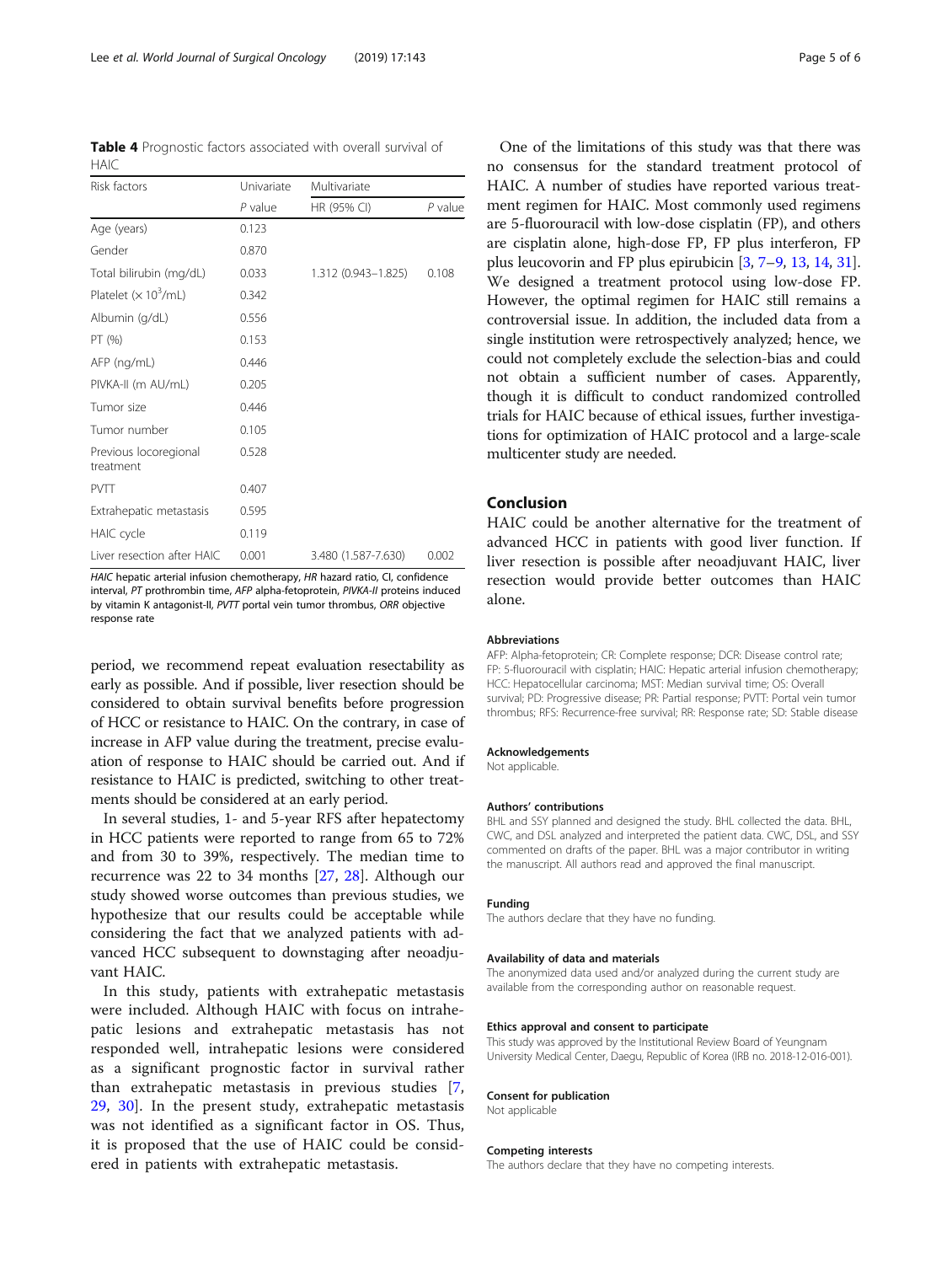<span id="page-4-0"></span>Table 4 Prognostic factors associated with overall survival of **HAIC** 

| Risk factors                       | Univariate | Multivariate        |           |  |  |
|------------------------------------|------------|---------------------|-----------|--|--|
|                                    | $P$ value  | HR (95% CI)         | $P$ value |  |  |
| Age (years)                        | 0.123      |                     |           |  |  |
| Gender                             | 0.870      |                     |           |  |  |
| Total bilirubin (mg/dL)            | 0.033      | 1.312 (0.943-1.825) | 0.108     |  |  |
| Platelet $(x 10^3/mL)$             | 0.342      |                     |           |  |  |
| Albumin (g/dL)                     | 0.556      |                     |           |  |  |
| PT (%)                             | 0.153      |                     |           |  |  |
| AFP (ng/mL)                        | 0.446      |                     |           |  |  |
| PIVKA-II (m AU/mL)                 | 0.205      |                     |           |  |  |
| Tumor size                         | 0.446      |                     |           |  |  |
| Tumor number                       | 0.105      |                     |           |  |  |
| Previous locoregional<br>treatment | 0.528      |                     |           |  |  |
| <b>PVTT</b>                        | 0.407      |                     |           |  |  |
| Extrahepatic metastasis            | 0.595      |                     |           |  |  |
| HAIC cycle                         | 0.119      |                     |           |  |  |
| Liver resection after HAIC         | 0.001      | 3.480 (1.587-7.630) | 0.002     |  |  |

HAIC hepatic arterial infusion chemotherapy, HR hazard ratio, CI, confidence interval, PT prothrombin time, AFP alpha-fetoprotein, PIVKA-II proteins induced by vitamin K antagonist-II, PVTT portal vein tumor thrombus, ORR objective response rate

period, we recommend repeat evaluation resectability as early as possible. And if possible, liver resection should be considered to obtain survival benefits before progression of HCC or resistance to HAIC. On the contrary, in case of increase in AFP value during the treatment, precise evaluation of response to HAIC should be carried out. And if resistance to HAIC is predicted, switching to other treatments should be considered at an early period.

In several studies, 1- and 5-year RFS after hepatectomy in HCC patients were reported to range from 65 to 72% and from 30 to 39%, respectively. The median time to recurrence was 22 to 34 months [[27,](#page-5-0) [28](#page-5-0)]. Although our study showed worse outcomes than previous studies, we hypothesize that our results could be acceptable while considering the fact that we analyzed patients with advanced HCC subsequent to downstaging after neoadjuvant HAIC.

In this study, patients with extrahepatic metastasis were included. Although HAIC with focus on intrahepatic lesions and extrahepatic metastasis has not responded well, intrahepatic lesions were considered as a significant prognostic factor in survival rather than extrahepatic metastasis in previous studies [\[7](#page-5-0), [29,](#page-5-0) [30\]](#page-5-0). In the present study, extrahepatic metastasis was not identified as a significant factor in OS. Thus, it is proposed that the use of HAIC could be considered in patients with extrahepatic metastasis.

One of the limitations of this study was that there was no consensus for the standard treatment protocol of HAIC. A number of studies have reported various treatment regimen for HAIC. Most commonly used regimens are 5-fluorouracil with low-dose cisplatin (FP), and others are cisplatin alone, high-dose FP, FP plus interferon, FP plus leucovorin and FP plus epirubicin [\[3,](#page-5-0) [7](#page-5-0)–[9](#page-5-0), [13,](#page-5-0) [14,](#page-5-0) [31](#page-5-0)]. We designed a treatment protocol using low-dose FP. However, the optimal regimen for HAIC still remains a controversial issue. In addition, the included data from a single institution were retrospectively analyzed; hence, we could not completely exclude the selection-bias and could not obtain a sufficient number of cases. Apparently, though it is difficult to conduct randomized controlled trials for HAIC because of ethical issues, further investigations for optimization of HAIC protocol and a large-scale multicenter study are needed.

#### Conclusion

HAIC could be another alternative for the treatment of advanced HCC in patients with good liver function. If liver resection is possible after neoadjuvant HAIC, liver resection would provide better outcomes than HAIC alone.

#### Abbreviations

AFP: Alpha-fetoprotein; CR: Complete response; DCR: Disease control rate; FP: 5-fluorouracil with cisplatin; HAIC: Hepatic arterial infusion chemotherapy; HCC: Hepatocellular carcinoma; MST: Median survival time; OS: Overall survival; PD: Progressive disease; PR: Partial response; PVTT: Portal vein tumor thrombus; RFS: Recurrence-free survival; RR: Response rate; SD: Stable disease

#### Acknowledgements

Not applicable.

#### Authors' contributions

BHL and SSY planned and designed the study. BHL collected the data. BHL, CWC, and DSL analyzed and interpreted the patient data. CWC, DSL, and SSY commented on drafts of the paper. BHL was a major contributor in writing the manuscript. All authors read and approved the final manuscript.

#### Funding

The authors declare that they have no funding.

#### Availability of data and materials

The anonymized data used and/or analyzed during the current study are available from the corresponding author on reasonable request.

#### Ethics approval and consent to participate

This study was approved by the Institutional Review Board of Yeungnam University Medical Center, Daegu, Republic of Korea (IRB no. 2018-12-016-001).

#### Consent for publication

Not applicable

#### Competing interests

The authors declare that they have no competing interests.